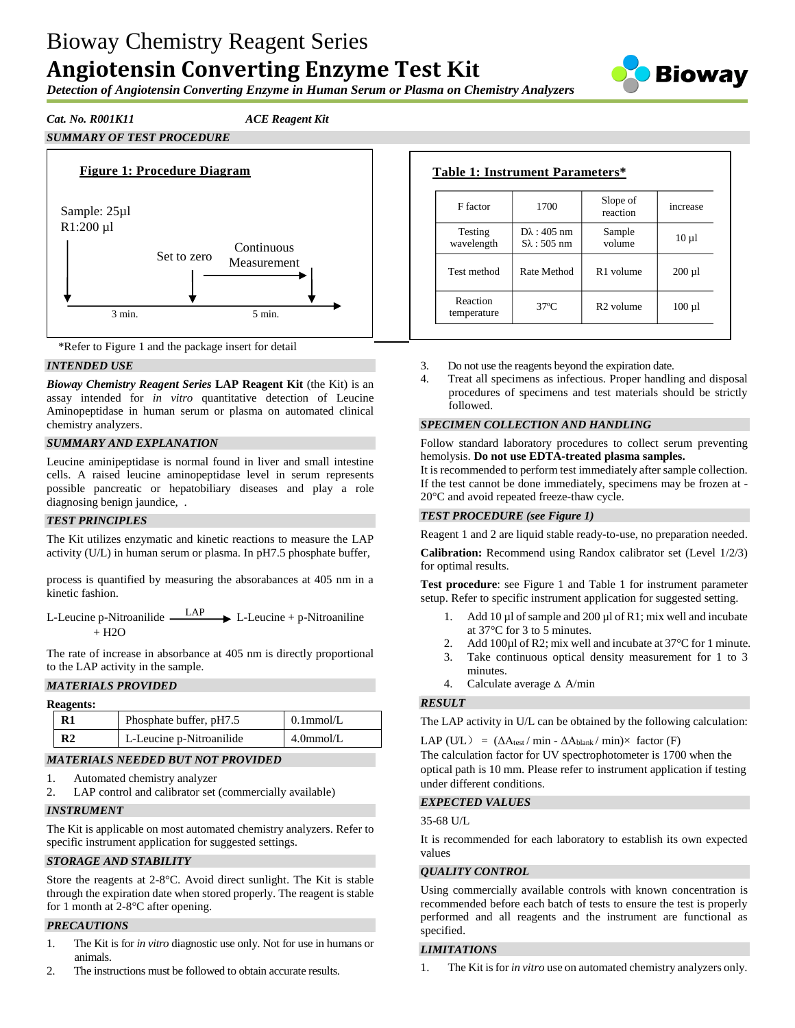# Bioway Chemistry Reagent Series **Angiotensin Converting Enzyme Test Kit**



*Detection of Angiotensin Converting Enzyme in Human Serum or Plasma on Chemistry Analyzers*

# *Cat. No. R001K11 ACE Reagent Kit*





# *INTENDED USE*

*Bioway Chemistry Reagent Series* **LAP Reagent Kit** (the Kit) is an assay intended for *in vitro* quantitative detection of Leucine Aminopeptidase in human serum or plasma on automated clinical chemistry analyzers.

# *SUMMARY AND EXPLANATION*

Leucine aminipeptidase is normal found in liver and small intestine cells. A raised leucine aminopeptidase level in serum represents possible pancreatic or hepatobiliary diseases and play a role diagnosing benign jaundice, .

#### *TEST PRINCIPLES*

The Kit utilizes enzymatic and kinetic reactions to measure the LAP activity (U/L) in human serum or plasma. In pH7.5 phosphate buffer,

process is quantified by measuring the absorabances at 405 nm in a kinetic fashion.

L-Leucine p-Nitroanilide LAP  $\rightarrow$  L-Leucine + p-Nitroaniline  $+$  H<sub>2</sub>O

The rate of increase in absorbance at 405 nm is directly proportional to the LAP activity in the sample.

# *MATERIALS PROVIDED*

| <b>Reagents:</b> |                |                          |              |  |
|------------------|----------------|--------------------------|--------------|--|
|                  | R1             | Phosphate buffer, pH7.5  | $0.1$ mmol/L |  |
|                  | R <sub>2</sub> | L-Leucine p-Nitroanilide | $4.0$ mmol/L |  |

#### *MATERIALS NEEDED BUT NOT PROVIDED*

- 1. Automated chemistry analyzer
- 2. LAP control and calibrator set (commercially available)

# *INSTRUMENT*

The Kit is applicable on most automated chemistry analyzers. Refer to specific instrument application for suggested settings.

# *STORAGE AND STABILITY*

Store the reagents at 2-8°C. Avoid direct sunlight. The Kit is stable through the expiration date when stored properly. The reagent is stable for 1 month at 2-8°C after opening.

# *PRECAUTIONS*

- 1. The Kit is for *in vitro* diagnostic use only. Not for use in humans or animals.
- 2. The instructions must be followed to obtain accurate results.

#### **Table 1: Instrument Parameters\*** F factor 1700 Slope of reaction increase Testing Dλ : 405 nm Sample volume  $10 \mu l$

Test method  $\begin{array}{|c|c|c|c|c|} \hline \end{array}$  R1 volume  $\begin{array}{|c|c|c|c|c|c|} \hline \end{array}$  200 µl

 $t$ emperature 37°C  $\begin{array}{|l|} \hline \text{R2 volume} & 100 \,\mu\text{I} \end{array}$ 

Sλ : 505 nm

| Do not use the reagents beyond the expiration date. |
|-----------------------------------------------------|

4. Treat all specimens as infectious. Proper handling and disposal procedures of specimens and test materials should be strictly followed.

# *SPECIMEN COLLECTION AND HANDLING*

Follow standard laboratory procedures to collect serum preventing hemolysis. **Do not use EDTA-treated plasma samples.**

It is recommended to perform test immediately after sample collection. If the test cannot be done immediately, specimens may be frozen at - 20°C and avoid repeated freeze-thaw cycle.

# *TEST PROCEDURE (see Figure 1)*

wavelength

Reaction

Reagent 1 and 2 are liquid stable ready-to-use, no preparation needed.

**Calibration:** Recommend using Randox calibrator set (Level 1/2/3) for optimal results.

**Test procedure**: see Figure 1 and Table 1 for instrument parameter setup. Refer to specific instrument application for suggested setting.

- 1. Add  $10 \mu l$  of sample and  $200 \mu l$  of R1; mix well and incubate at 37°C for 3 to 5 minutes.
- 2. Add 100µl of R2; mix well and incubate at 37 °C for 1 minute.
- 3. Take continuous optical density measurement for 1 to 3 minutes.
- 4. Calculate average  $\triangle$  A/min

# *RESULT*

The LAP activity in U/L can be obtained by the following calculation:

LAP (UL) =  $(\Delta A_{\text{test}} / \min - \Delta A_{\text{blank}} / \min) \times$  factor (F)

The calculation factor for UV spectrophotometer is 1700 when the optical path is 10 mm. Please refer to instrument application if testing under different conditions.

#### *EXPECTED VALUES*

#### 35-68 U/L

It is recommended for each laboratory to establish its own expected values

# *QUALITY CONTROL*

Using commercially available controls with known concentration is recommended before each batch of tests to ensure the test is properly performed and all reagents and the instrument are functional as specified.

# *LIMITATIONS*

1. The Kit is for *in vitro* use on automated chemistry analyzers only.